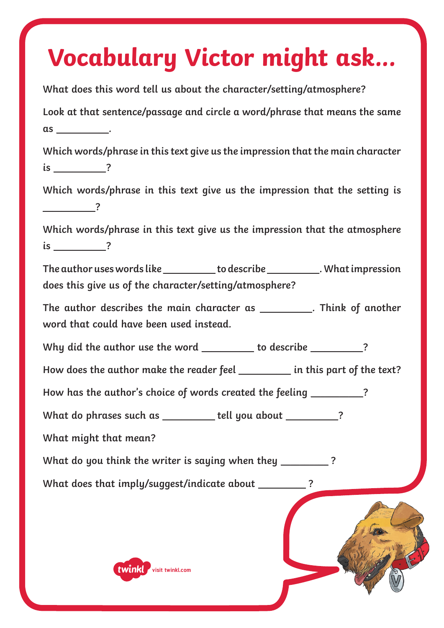# **Vocabulary Victor might ask...**

| What does this word tell us about the character/setting/atmosphere?                                                                        |
|--------------------------------------------------------------------------------------------------------------------------------------------|
| Look at that sentence/passage and circle a word/phrase that means the same                                                                 |
|                                                                                                                                            |
| Which words/phrase in this text give us the impression that the main character                                                             |
| $is$ $?$                                                                                                                                   |
| Which words/phrase in this text give us the impression that the setting is<br>$\overline{\phantom{1}}$ ?                                   |
| Which words/phrase in this text give us the impression that the atmosphere<br>$is$ $?$                                                     |
| The author uses words like ___________ to describe ____________. What impression<br>does this give us of the character/setting/atmosphere? |
| The author describes the main character as __________. Think of another<br>word that could have been used instead.                         |
| Why did the author use the word _________ to describe _________?                                                                           |
| How does the author make the reader feel ___________ in this part of the text?                                                             |
| How has the author's choice of words created the feeling _________?                                                                        |
| What do phrases such as ________ tell you about __________?                                                                                |
| What might that mean?                                                                                                                      |
| What do you think the writer is saying when they ________                                                                                  |
| What does that imply/suggest/indicate about __________?                                                                                    |
|                                                                                                                                            |

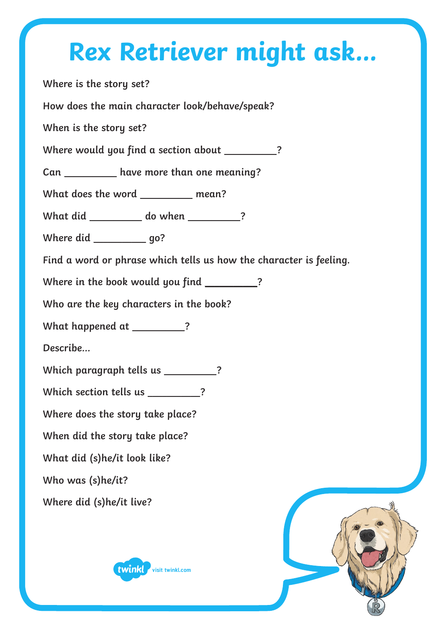#### **Rex Retriever might ask...**

**Where is the story set?**

**How does the main character look/behave/speak?**

**When is the story set?**

**Where would you find a section about** \_\_\_\_\_\_\_\_\_\_\_**?**

**Can** \_\_\_\_\_\_\_\_\_\_\_ **have more than one meaning?**

**What does the word** \_\_\_\_\_\_\_\_\_\_\_ **mean?**

**What did** \_\_\_\_\_\_\_\_\_\_\_ **do when** \_\_\_\_\_\_\_\_\_\_\_**?**

**Where did** \_\_\_\_\_\_\_\_\_\_\_ **go?**

**Find a word or phrase which tells us how the character is feeling.**

**Where in the book would you find** \_\_\_\_\_\_\_\_\_\_\_**?**

**Who are the key characters in the book?** 

**What happened at** \_\_\_\_\_\_\_\_\_\_\_**?**

**Describe…**

**Which paragraph tells us** \_\_\_\_\_\_\_\_\_\_\_**?**

Which section tells us \_\_\_\_\_\_\_\_\_?

**Where does the story take place?** 

**When did the story take place?** 

**What did (s)he/it look like?** 

**Who was (s)he/it?** 

**Where did (s)he/it live?** 



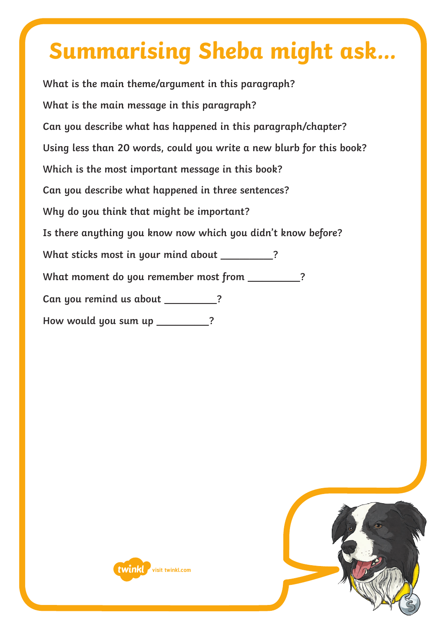#### **Summarising Sheba might ask...**

**What is the main theme/argument in this paragraph? What is the main message in this paragraph? Can you describe what has happened in this paragraph/chapter? Using less than 20 words, could you write a new blurb for this book? Which is the most important message in this book? Can you describe what happened in three sentences? Why do you think that might be important? Is there anything you know now which you didn't know before? What sticks most in your mind about** \_\_\_\_\_\_\_\_\_\_\_**?** What moment do you remember most from \_\_\_\_\_\_\_\_\_\_\_? **Can you remind us about** \_\_\_\_\_\_\_\_\_\_\_**? How would you sum up** \_\_\_\_\_\_\_\_\_\_\_**?**



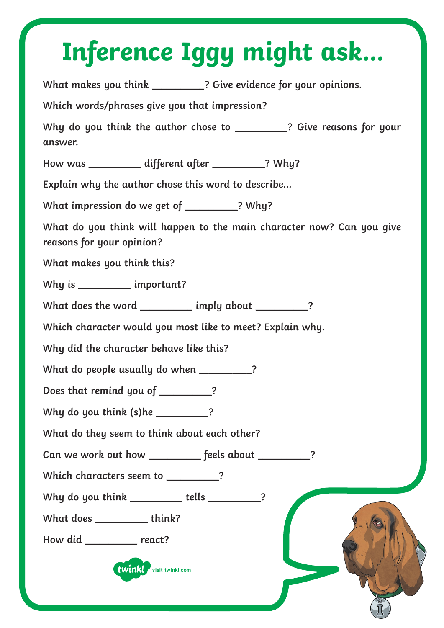# **Inference Iggy might ask...**

**What makes you think** \_\_\_\_\_\_\_\_\_\_\_**? Give evidence for your opinions. Which words/phrases give you that impression? Why do you think the author chose to** \_\_\_\_\_\_\_\_\_\_\_**? Give reasons for your answer. How was** \_\_\_\_\_\_\_\_\_\_\_ **different after** \_\_\_\_\_\_\_\_\_\_\_**? Why? Explain why the author chose this word to describe… What impression do we get of** \_\_\_\_\_\_\_\_\_\_\_**? Why? What do you think will happen to the main character now? Can you give reasons for your opinion? What makes you think this? Why is** \_\_\_\_\_\_\_\_\_\_\_ **important? What does the word** \_\_\_\_\_\_\_\_\_\_\_ **imply about** \_\_\_\_\_\_\_\_\_\_\_**? Which character would you most like to meet? Explain why. Why did the character behave like this? What do people usually do when** \_\_\_\_\_\_\_\_\_\_\_**? Does that remind you of** \_\_\_\_\_\_\_\_\_\_\_**? Why do you think (s)he** \_\_\_\_\_\_\_\_\_\_\_**? What do they seem to think about each other? Can we work out how** \_\_\_\_\_\_\_\_\_\_\_ **feels about** \_\_\_\_\_\_\_\_\_\_\_**? Which characters seem to** \_\_\_\_\_\_\_\_\_\_\_**? Why do you think** \_\_\_\_\_\_\_\_\_\_\_ **tells** \_\_\_\_\_\_\_\_\_\_\_**? What does** \_\_\_\_\_\_\_\_\_\_\_ **think? How did** \_\_\_\_\_\_\_\_\_\_\_ **react? twinkl** visit twinkl.com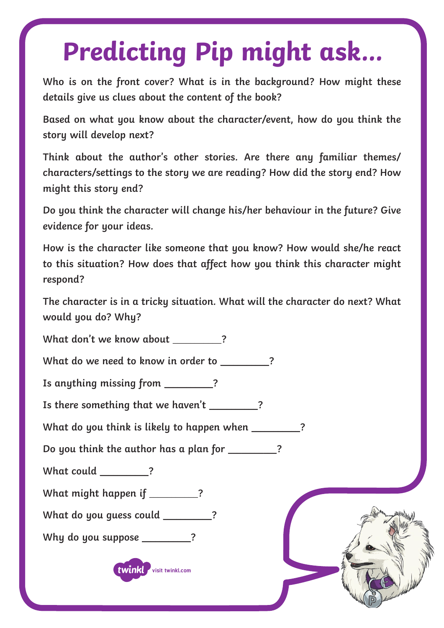## **Predicting Pip might ask...**

**Who is on the front cover? What is in the background? How might these details give us clues about the content of the book?**

**Based on what you know about the character/event, how do you think the story will develop next?**

**Think about the author's other stories. Are there any familiar themes/ characters/settings to the story we are reading? How did the story end? How might this story end?**

**Do you think the character will change his/her behaviour in the future? Give evidence for your ideas.**

**How is the character like someone that you know? How would she/he react to this situation? How does that affect how you think this character might respond?**

**The character is in a tricky situation. What will the character do next? What would you do? Why?**

**What don't we know about** \_\_\_\_\_\_\_\_\_\_\_**?**

**What do we need to know in order to** \_\_\_\_\_\_\_\_\_\_\_**?**

**Is anything missing from** \_\_\_\_\_\_\_\_\_\_\_**?**

**Is there something that we haven't** \_\_\_\_\_\_\_\_\_\_\_**?**

**What do you think is likely to happen when** \_\_\_\_\_\_\_\_\_\_\_**?**

**Do you think the author has a plan for** \_\_\_\_\_\_\_\_\_\_\_**?**

**What could** \_\_\_\_\_\_\_\_\_\_\_**?**

**What might happen if** \_\_\_\_\_\_\_\_\_\_\_**?**

**What do you guess could** \_\_\_\_\_\_\_\_\_\_\_**?**

**Why do you suppose** \_\_\_\_\_\_\_\_\_\_\_**?**

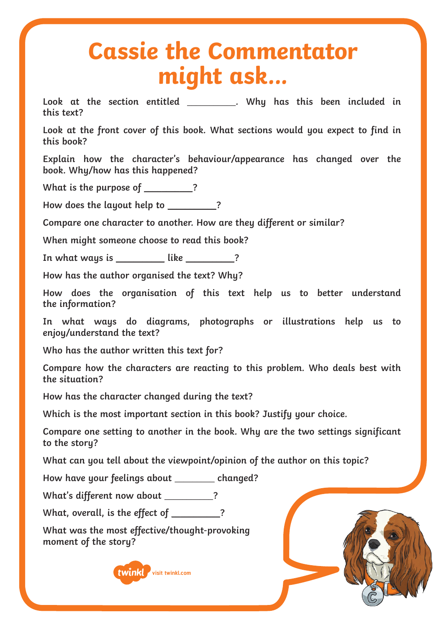#### **Cassie the Commentator might ask...**

**Look at the section entitled** \_\_\_\_\_\_\_\_\_\_\_**. Why has this been included in this text?**

**Look at the front cover of this book. What sections would you expect to find in this book?**

**Explain how the character's behaviour/appearance has changed over the book. Why/how has this happened?**

**What is the purpose of** \_\_\_\_\_\_\_\_\_\_\_**?**

**How does the layout help to** \_\_\_\_\_\_\_\_\_\_\_**?**

**Compare one character to another. How are they different or similar?**

**When might someone choose to read this book?**

**In what ways is** \_\_\_\_\_\_\_\_\_\_\_ **like** \_\_\_\_\_\_\_\_\_\_\_**?**

**How has the author organised the text? Why?**

**How does the organisation of this text help us to better understand the information?**

**In what ways do diagrams, photographs or illustrations help us to enjoy/understand the text?**

**Who has the author written this text for?** 

**Compare how the characters are reacting to this problem. Who deals best with the situation?**

**How has the character changed during the text?**

**Which is the most important section in this book? Justify your choice.**

**Compare one setting to another in the book. Why are the two settings significant to the story?**

**What can you tell about the viewpoint/opinion of the author on this topic?**

**How have your feelings about** \_\_\_\_\_\_\_\_\_ **changed?**

**What's different now about** \_\_\_\_\_\_\_\_\_\_\_**?**

**What, overall, is the effect of** \_\_\_\_\_\_\_\_\_\_\_**?**

**What was the most effective/thought-provoking moment of the story?**